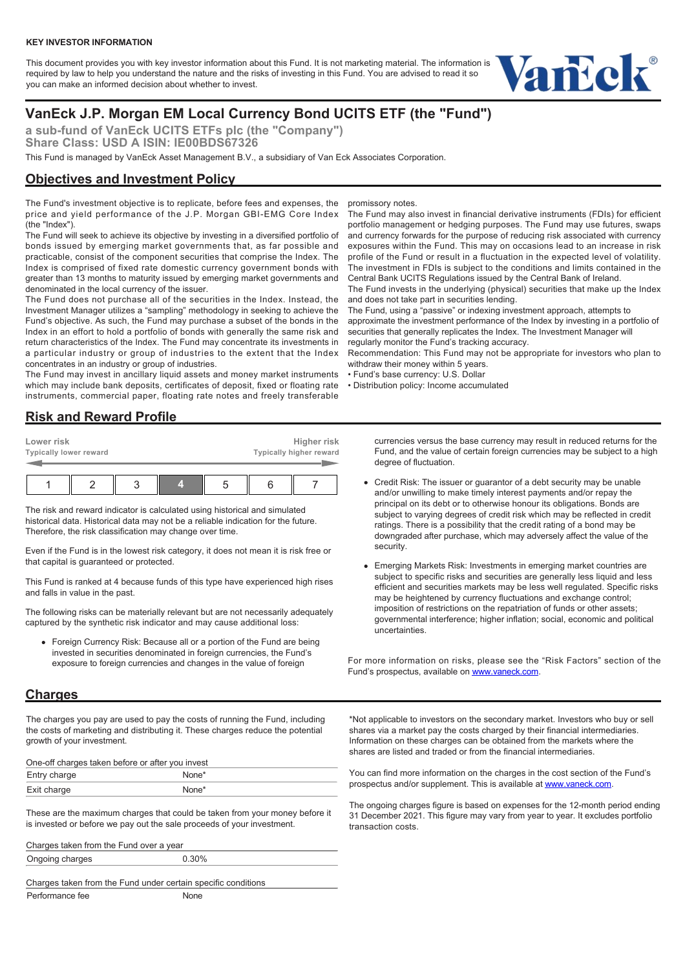This document provides you with key investor information about this Fund. It is not marketing material. The information is required by law to help you understand the nature and the risks of investing in this Fund. You are advised to read it so you can make an informed decision about whether to invest.



# **VanEck J.P. Morgan EM Local Currency Bond UCITS ETF (the "Fund")**

**a sub-fund of VanEck UCITS ETFs plc (the "Company") Share Class: USD A ISIN: IE00BDS67326**

This Fund is managed by VanEck Asset Management B.V., a subsidiary of Van Eck Associates Corporation.

## **Objectives and Investment Policy**

The Fund's investment objective is to replicate, before fees and expenses, the price and yield performance of the J.P. Morgan GBI-EMG Core Index (the "Index").

The Fund will seek to achieve its objective by investing in a diversified portfolio of bonds issued by emerging market governments that, as far possible and practicable, consist of the component securities that comprise the Index. The Index is comprised of fixed rate domestic currency government bonds with greater than 13 months to maturity issued by emerging market governments and denominated in the local currency of the issuer.

The Fund does not purchase all of the securities in the Index. Instead, the Investment Manager utilizes a "sampling" methodology in seeking to achieve the Fund's objective. As such, the Fund may purchase a subset of the bonds in the Index in an effort to hold a portfolio of bonds with generally the same risk and return characteristics of the Index. The Fund may concentrate its investments in a particular industry or group of industries to the extent that the Index concentrates in an industry or group of industries.

The Fund may invest in ancillary liquid assets and money market instruments which may include bank deposits, certificates of deposit, fixed or floating rate instruments, commercial paper, floating rate notes and freely transferable

#### **Risk and Reward Profile**

| Lower risk<br>Typically lower reward |  |  |  |  | Higher risk<br>Typically higher reward |  |
|--------------------------------------|--|--|--|--|----------------------------------------|--|
|                                      |  |  |  |  |                                        |  |

The risk and reward indicator is calculated using historical and simulated historical data. Historical data may not be a reliable indication for the future. Therefore, the risk classification may change over time.

Even if the Fund is in the lowest risk category, it does not mean it is risk free or that capital is guaranteed or protected.

This Fund is ranked at 4 because funds of this type have experienced high rises and falls in value in the past.

The following risks can be materially relevant but are not necessarily adequately captured by the synthetic risk indicator and may cause additional loss:

Foreign Currency Risk: Because all or a portion of the Fund are being invested in securities denominated in foreign currencies, the Fund's exposure to foreign currencies and changes in the value of foreign

#### **Charges**

The charges you pay are used to pay the costs of running the Fund, including the costs of marketing and distributing it. These charges reduce the potential growth of your investment.

One-off charges taken before or after you invest

| Entry charge |  |
|--------------|--|
| Exit charge  |  |

These are the maximum charges that could be taken from your money before it is invested or before we pay out the sale proceeds of your investment.

Charges taken from the Fund over a year Ongoing charges 0.30%

Charges taken from the Fund under certain specific conditions Performance fee None

promissory notes.

The Fund may also invest in financial derivative instruments (FDIs) for efficient portfolio management or hedging purposes. The Fund may use futures, swaps and currency forwards for the purpose of reducing risk associated with currency exposures within the Fund. This may on occasions lead to an increase in risk profile of the Fund or result in a fluctuation in the expected level of volatility. The investment in FDIs is subject to the conditions and limits contained in the Central Bank UCITS Regulations issued by the Central Bank of Ireland.

The Fund invests in the underlying (physical) securities that make up the Index and does not take part in securities lending.

The Fund, using a "passive" or indexing investment approach, attempts to

approximate the investment performance of the Index by investing in a portfolio of securities that generally replicates the Index. The Investment Manager will regularly monitor the Fund's tracking accuracy.

Recommendation: This Fund may not be appropriate for investors who plan to withdraw their money within 5 years.

• Fund's base currency: U.S. Dollar

• Distribution policy: Income accumulated

currencies versus the base currency may result in reduced returns for the Fund, and the value of certain foreign currencies may be subject to a high degree of fluctuation.

- Credit Risk: The issuer or guarantor of a debt security may be unable and/or unwilling to make timely interest payments and/or repay the principal on its debt or to otherwise honour its obligations. Bonds are subject to varying degrees of credit risk which may be reflected in credit ratings. There is a possibility that the credit rating of a bond may be downgraded after purchase, which may adversely affect the value of the security.
- Emerging Markets Risk: Investments in emerging market countries are subject to specific risks and securities are generally less liquid and less efficient and securities markets may be less well regulated. Specific risks may be heightened by currency fluctuations and exchange control; imposition of restrictions on the repatriation of funds or other assets; governmental interference; higher inflation; social, economic and political uncertainties.

For more information on risks, please see the "Risk Factors" section of the Fund's prospectus, available on [www.vaneck.com.](https://www.vaneck.com)

\*Not applicable to investors on the secondary market. Investors who buy or sell shares via a market pay the costs charged by their financial intermediaries. Information on these charges can be obtained from the markets where the shares are listed and traded or from the financial intermediaries.

You can find more information on the charges in the cost section of the Fund's prospectus and/or supplement. This is available at [www.vaneck.com](https://www.vaneck.com).

The ongoing charges figure is based on expenses for the 12-month period ending 31 December 2021. This figure may vary from year to year. It excludes portfolio transaction costs.